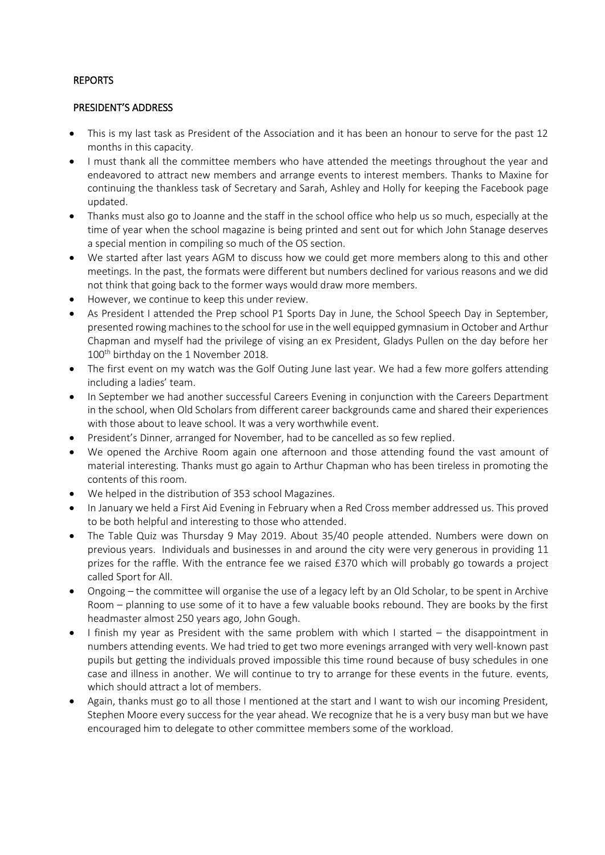## REPORTS

#### PRESIDENT'S ADDRESS

- This is my last task as President of the Association and it has been an honour to serve for the past 12 months in this capacity.
- I must thank all the committee members who have attended the meetings throughout the year and endeavored to attract new members and arrange events to interest members. Thanks to Maxine for continuing the thankless task of Secretary and Sarah, Ashley and Holly for keeping the Facebook page updated.
- Thanks must also go to Joanne and the staff in the school office who help us so much, especially at the time of year when the school magazine is being printed and sent out for which John Stanage deserves a special mention in compiling so much of the OS section.
- We started after last years AGM to discuss how we could get more members along to this and other meetings. In the past, the formats were different but numbers declined for various reasons and we did not think that going back to the former ways would draw more members.
- However, we continue to keep this under review.
- As President I attended the Prep school P1 Sports Day in June, the School Speech Day in September, presented rowing machines to the school for use in the well equipped gymnasium in October and Arthur Chapman and myself had the privilege of vising an ex President, Gladys Pullen on the day before her 100<sup>th</sup> birthday on the 1 November 2018.
- The first event on my watch was the Golf Outing June last year. We had a few more golfers attending including a ladies' team.
- In September we had another successful Careers Evening in conjunction with the Careers Department in the school, when Old Scholars from different career backgrounds came and shared their experiences with those about to leave school. It was a very worthwhile event.
- President's Dinner, arranged for November, had to be cancelled as so few replied.
- We opened the Archive Room again one afternoon and those attending found the vast amount of material interesting. Thanks must go again to Arthur Chapman who has been tireless in promoting the contents of this room.
- We helped in the distribution of 353 school Magazines.
- In January we held a First Aid Evening in February when a Red Cross member addressed us. This proved to be both helpful and interesting to those who attended.
- The Table Quiz was Thursday 9 May 2019. About 35/40 people attended. Numbers were down on previous years. Individuals and businesses in and around the city were very generous in providing 11 prizes for the raffle. With the entrance fee we raised £370 which will probably go towards a project called Sport for All.
- Ongoing the committee will organise the use of a legacy left by an Old Scholar, to be spent in Archive Room – planning to use some of it to have a few valuable books rebound. They are books by the first headmaster almost 250 years ago, John Gough.
- I finish my year as President with the same problem with which I started the disappointment in numbers attending events. We had tried to get two more evenings arranged with very well-known past pupils but getting the individuals proved impossible this time round because of busy schedules in one case and illness in another. We will continue to try to arrange for these events in the future. events, which should attract a lot of members.
- Again, thanks must go to all those I mentioned at the start and I want to wish our incoming President, Stephen Moore every success for the year ahead. We recognize that he is a very busy man but we have encouraged him to delegate to other committee members some of the workload.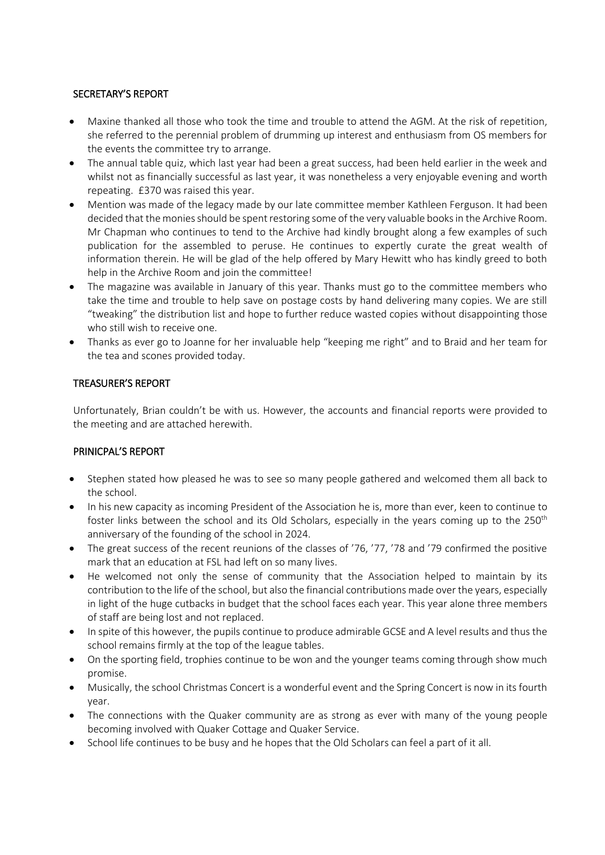# SECRETARY'S REPORT

- Maxine thanked all those who took the time and trouble to attend the AGM. At the risk of repetition, she referred to the perennial problem of drumming up interest and enthusiasm from OS members for the events the committee try to arrange.
- The annual table quiz, which last year had been a great success, had been held earlier in the week and whilst not as financially successful as last year, it was nonetheless a very enjoyable evening and worth repeating. £370 was raised this year.
- Mention was made of the legacy made by our late committee member Kathleen Ferguson. It had been decided that the monies should be spent restoring some of the very valuable books in the Archive Room. Mr Chapman who continues to tend to the Archive had kindly brought along a few examples of such publication for the assembled to peruse. He continues to expertly curate the great wealth of information therein. He will be glad of the help offered by Mary Hewitt who has kindly greed to both help in the Archive Room and join the committee!
- The magazine was available in January of this year. Thanks must go to the committee members who take the time and trouble to help save on postage costs by hand delivering many copies. We are still "tweaking" the distribution list and hope to further reduce wasted copies without disappointing those who still wish to receive one.
- Thanks as ever go to Joanne for her invaluable help "keeping me right" and to Braid and her team for the tea and scones provided today.

# TREASURER'S REPORT

Unfortunately, Brian couldn't be with us. However, the accounts and financial reports were provided to the meeting and are attached herewith.

# PRINICPAL'S REPORT

- Stephen stated how pleased he was to see so many people gathered and welcomed them all back to the school.
- In his new capacity as incoming President of the Association he is, more than ever, keen to continue to foster links between the school and its Old Scholars, especially in the years coming up to the 250<sup>th</sup> anniversary of the founding of the school in 2024.
- The great success of the recent reunions of the classes of '76, '77, '78 and '79 confirmed the positive mark that an education at FSL had left on so many lives.
- He welcomed not only the sense of community that the Association helped to maintain by its contribution to the life of the school, but also the financial contributions made over the years, especially in light of the huge cutbacks in budget that the school faces each year. This year alone three members of staff are being lost and not replaced.
- In spite of this however, the pupils continue to produce admirable GCSE and A level results and thus the school remains firmly at the top of the league tables.
- On the sporting field, trophies continue to be won and the younger teams coming through show much promise.
- Musically, the school Christmas Concert is a wonderful event and the Spring Concert is now in its fourth year.
- The connections with the Quaker community are as strong as ever with many of the young people becoming involved with Quaker Cottage and Quaker Service.
- School life continues to be busy and he hopes that the Old Scholars can feel a part of it all.